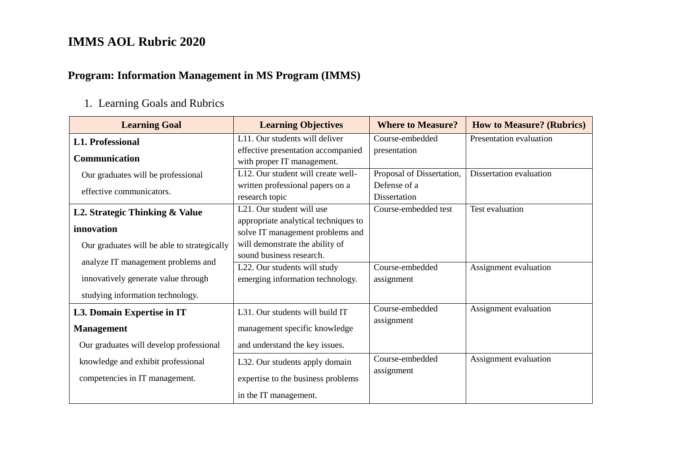#### **Program: Information Management in MS Program (IMMS)**

#### 1. Learning Goals and Rubrics

| <b>Learning Goal</b>                        | <b>Learning Objectives</b>                                       | <b>Where to Measure?</b>  | <b>How to Measure? (Rubrics)</b> |  |
|---------------------------------------------|------------------------------------------------------------------|---------------------------|----------------------------------|--|
| <b>L1. Professional</b>                     | L11. Our students will deliver                                   | Course-embedded           | Presentation evaluation          |  |
| <b>Communication</b>                        | effective presentation accompanied<br>with proper IT management. | presentation              |                                  |  |
| Our graduates will be professional          | L12. Our student will create well-                               | Proposal of Dissertation, | Dissertation evaluation          |  |
| effective communicators.                    | written professional papers on a                                 | Defense of a              |                                  |  |
|                                             | research topic                                                   | Dissertation              |                                  |  |
| L2. Strategic Thinking & Value              | L21. Our student will use                                        | Course-embedded test      | Test evaluation                  |  |
|                                             | appropriate analytical techniques to                             |                           |                                  |  |
| innovation                                  | solve IT management problems and                                 |                           |                                  |  |
| Our graduates will be able to strategically | will demonstrate the ability of                                  |                           |                                  |  |
| analyze IT management problems and          | sound business research.                                         |                           |                                  |  |
|                                             | L22. Our students will study                                     | Course-embedded           | Assignment evaluation            |  |
| innovatively generate value through         | emerging information technology.                                 | assignment                |                                  |  |
| studying information technology.            |                                                                  |                           |                                  |  |
| L3. Domain Expertise in IT                  | Course-embedded<br>L31. Our students will build IT               |                           | Assignment evaluation            |  |
| <b>Management</b>                           | management specific knowledge                                    | assignment                |                                  |  |
| Our graduates will develop professional     | and understand the key issues.                                   |                           |                                  |  |
| knowledge and exhibit professional          | L32. Our students apply domain                                   | Course-embedded           | Assignment evaluation            |  |
| competencies in IT management.              | expertise to the business problems                               | assignment                |                                  |  |
|                                             | in the IT management.                                            |                           |                                  |  |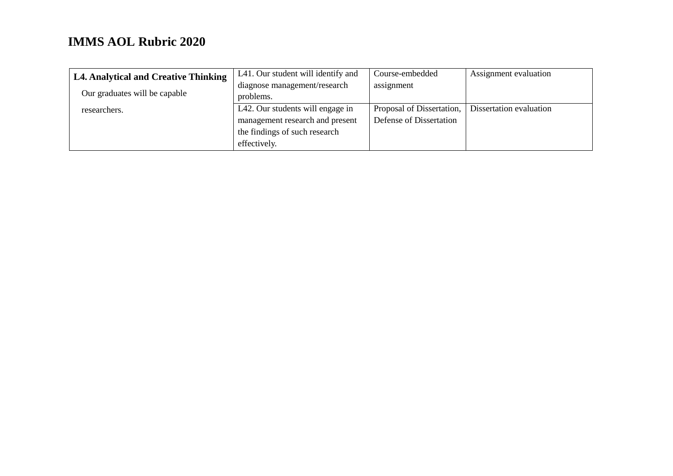| L4. Analytical and Creative Thinking | L41. Our student will identify and | Course-embedded           | Assignment evaluation   |
|--------------------------------------|------------------------------------|---------------------------|-------------------------|
|                                      | diagnose management/research       | assignment                |                         |
| Our graduates will be capable        | problems.                          |                           |                         |
| researchers.                         | L42. Our students will engage in   | Proposal of Dissertation, | Dissertation evaluation |
|                                      | management research and present    | Defense of Dissertation   |                         |
|                                      | the findings of such research      |                           |                         |
|                                      | effectively.                       |                           |                         |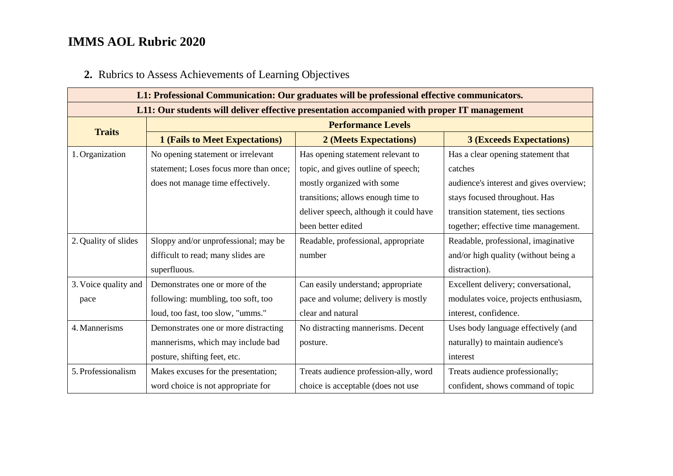# **2.** Rubrics to Assess Achievements of Learning Objectives

| L1: Professional Communication: Our graduates will be professional effective communicators. |                                        |                                        |                                         |
|---------------------------------------------------------------------------------------------|----------------------------------------|----------------------------------------|-----------------------------------------|
| L11: Our students will deliver effective presentation accompanied with proper IT management |                                        |                                        |                                         |
| <b>Traits</b>                                                                               | <b>Performance Levels</b>              |                                        |                                         |
|                                                                                             | <b>1 (Fails to Meet Expectations)</b>  | 2 (Meets Expectations)                 | <b>3 (Exceeds Expectations)</b>         |
| 1. Organization                                                                             | No opening statement or irrelevant     | Has opening statement relevant to      | Has a clear opening statement that      |
|                                                                                             | statement; Loses focus more than once; | topic, and gives outline of speech;    | catches                                 |
|                                                                                             | does not manage time effectively.      | mostly organized with some             | audience's interest and gives overview; |
|                                                                                             |                                        | transitions; allows enough time to     | stays focused throughout. Has           |
|                                                                                             |                                        | deliver speech, although it could have | transition statement, ties sections     |
|                                                                                             |                                        | been better edited                     | together; effective time management.    |
| 2. Quality of slides                                                                        | Sloppy and/or unprofessional; may be   | Readable, professional, appropriate    | Readable, professional, imaginative     |
|                                                                                             | difficult to read; many slides are     | number                                 | and/or high quality (without being a    |
|                                                                                             | superfluous.                           |                                        | distraction).                           |
| 3. Voice quality and                                                                        | Demonstrates one or more of the        | Can easily understand; appropriate     | Excellent delivery; conversational,     |
| pace                                                                                        | following: mumbling, too soft, too     | pace and volume; delivery is mostly    | modulates voice, projects enthusiasm,   |
|                                                                                             | loud, too fast, too slow, "umms."      | clear and natural                      | interest, confidence.                   |
| 4. Mannerisms                                                                               | Demonstrates one or more distracting   | No distracting mannerisms. Decent      | Uses body language effectively (and     |
|                                                                                             | mannerisms, which may include bad      | posture.                               | naturally) to maintain audience's       |
|                                                                                             | posture, shifting feet, etc.           |                                        | interest                                |
| 5. Professionalism                                                                          | Makes excuses for the presentation;    | Treats audience profession-ally, word  | Treats audience professionally;         |
|                                                                                             | word choice is not appropriate for     | choice is acceptable (does not use     | confident, shows command of topic       |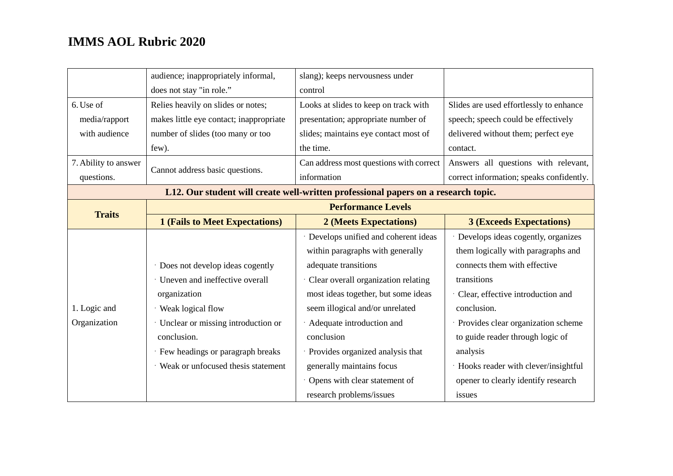|                      | audience; inappropriately informal,     | slang); keeps nervousness under                                                    |                                          |
|----------------------|-----------------------------------------|------------------------------------------------------------------------------------|------------------------------------------|
|                      | does not stay "in role."                | control                                                                            |                                          |
| 6. Use of            | Relies heavily on slides or notes;      | Looks at slides to keep on track with                                              | Slides are used effortlessly to enhance  |
| media/rapport        | makes little eye contact; inappropriate | presentation; appropriate number of                                                | speech; speech could be effectively      |
| with audience        | number of slides (too many or too       | slides; maintains eye contact most of                                              | delivered without them; perfect eye      |
|                      | few).                                   | the time.                                                                          | contact.                                 |
| 7. Ability to answer |                                         | Can address most questions with correct                                            | Answers all questions with relevant,     |
| questions.           | Cannot address basic questions.         | information                                                                        | correct information; speaks confidently. |
|                      |                                         | L12. Our student will create well-written professional papers on a research topic. |                                          |
|                      |                                         | <b>Performance Levels</b>                                                          |                                          |
| <b>Traits</b>        | <b>1 (Fails to Meet Expectations)</b>   | 2 (Meets Expectations)                                                             | <b>3 (Exceeds Expectations)</b>          |
|                      |                                         | · Develops unified and coherent ideas                                              | Develops ideas cogently, organizes       |
|                      |                                         | within paragraphs with generally                                                   | them logically with paragraphs and       |
|                      | · Does not develop ideas cogently       | adequate transitions                                                               | connects them with effective             |
|                      | · Uneven and ineffective overall        | Clear overall organization relating                                                | transitions                              |
|                      | organization                            | most ideas together, but some ideas                                                | Clear, effective introduction and        |
| 1. Logic and         | · Weak logical flow                     | seem illogical and/or unrelated                                                    | conclusion.                              |
| Organization         | · Unclear or missing introduction or    | Adequate introduction and                                                          | Provides clear organization scheme       |
|                      | conclusion.                             | conclusion                                                                         | to guide reader through logic of         |
|                      | · Few headings or paragraph breaks      | Provides organized analysis that                                                   | analysis                                 |
|                      | · Weak or unfocused thesis statement    | generally maintains focus                                                          | · Hooks reader with clever/insightful    |
|                      |                                         | Opens with clear statement of                                                      | opener to clearly identify research      |
|                      |                                         | research problems/issues                                                           | issues                                   |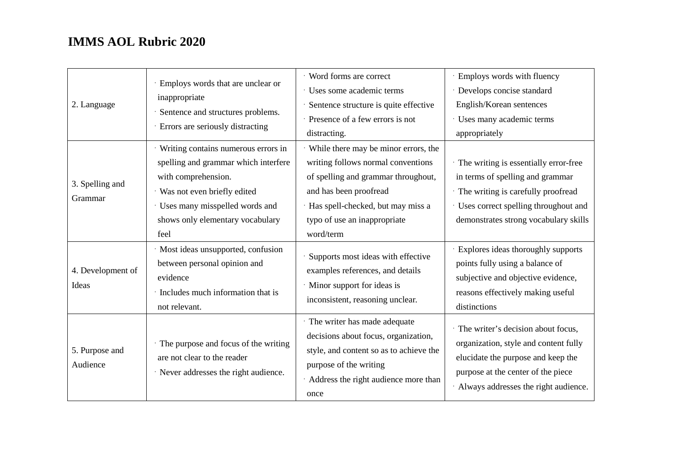| 2. Language                | Employs words that are unclear or<br>inappropriate<br>Sentence and structures problems.<br>Errors are seriously distracting                                                                                       | · Word forms are correct<br>· Uses some academic terms<br>· Sentence structure is quite effective<br>· Presence of a few errors is not<br>distracting.                                                                          | · Employs words with fluency<br>· Develops concise standard<br>English/Korean sentences<br>· Uses many academic terms<br>appropriately                                                                 |
|----------------------------|-------------------------------------------------------------------------------------------------------------------------------------------------------------------------------------------------------------------|---------------------------------------------------------------------------------------------------------------------------------------------------------------------------------------------------------------------------------|--------------------------------------------------------------------------------------------------------------------------------------------------------------------------------------------------------|
| 3. Spelling and<br>Grammar | Writing contains numerous errors in<br>spelling and grammar which interfere<br>with comprehension.<br>· Was not even briefly edited<br>Uses many misspelled words and<br>shows only elementary vocabulary<br>feel | While there may be minor errors, the<br>writing follows normal conventions<br>of spelling and grammar throughout,<br>and has been proofread<br>· Has spell-checked, but may miss a<br>typo of use an inappropriate<br>word/term | · The writing is essentially error-free<br>in terms of spelling and grammar<br>· The writing is carefully proofread<br>· Uses correct spelling throughout and<br>demonstrates strong vocabulary skills |
| 4. Development of<br>Ideas | · Most ideas unsupported, confusion<br>between personal opinion and<br>evidence<br>· Includes much information that is<br>not relevant.                                                                           | Supports most ideas with effective<br>examples references, and details<br>· Minor support for ideas is<br>inconsistent, reasoning unclear.                                                                                      | · Explores ideas thoroughly supports<br>points fully using a balance of<br>subjective and objective evidence,<br>reasons effectively making useful<br>distinctions                                     |
| 5. Purpose and<br>Audience | The purpose and focus of the writing<br>are not clear to the reader<br>· Never addresses the right audience.                                                                                                      | · The writer has made adequate<br>decisions about focus, organization,<br>style, and content so as to achieve the<br>purpose of the writing<br>Address the right audience more than<br>once                                     | · The writer's decision about focus,<br>organization, style and content fully<br>elucidate the purpose and keep the<br>purpose at the center of the piece<br>· Always addresses the right audience.    |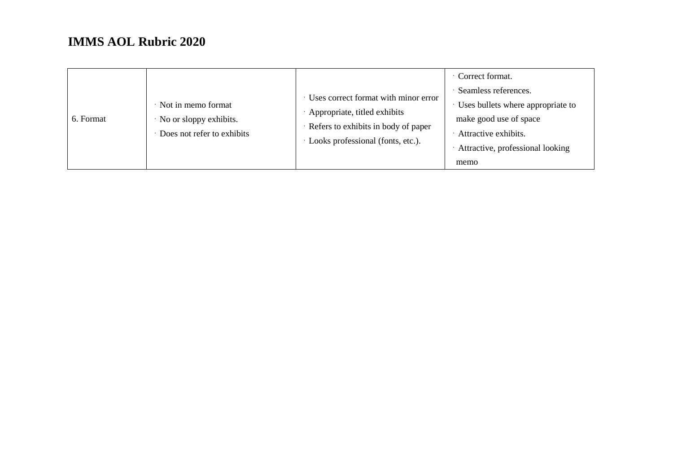| 6. Format | · Not in memo format<br>No or sloppy exhibits.<br>Does not refer to exhibits | · Uses correct format with minor error<br>Appropriate, titled exhibits<br>Refers to exhibits in body of paper<br>Looks professional (fonts, etc.). | Correct format.<br>· Seamless references.<br>Uses bullets where appropriate to<br>make good use of space<br>Attractive exhibits.<br>Attractive, professional looking<br>memo |
|-----------|------------------------------------------------------------------------------|----------------------------------------------------------------------------------------------------------------------------------------------------|------------------------------------------------------------------------------------------------------------------------------------------------------------------------------|
|-----------|------------------------------------------------------------------------------|----------------------------------------------------------------------------------------------------------------------------------------------------|------------------------------------------------------------------------------------------------------------------------------------------------------------------------------|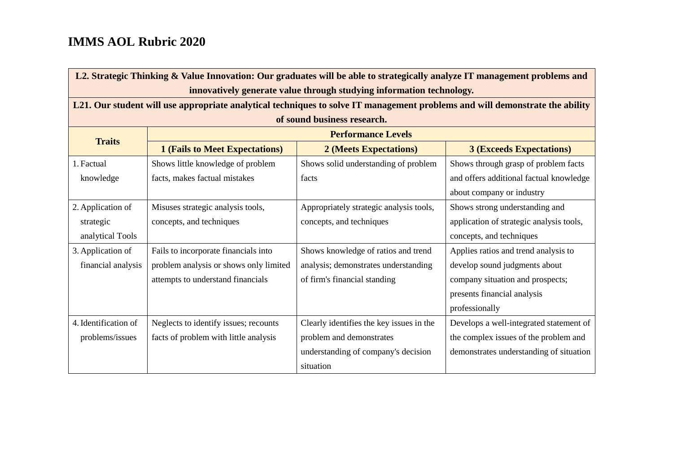| L2. Strategic Thinking & Value Innovation: Our graduates will be able to strategically analyze IT management problems and |                                                                                                                              |                                          |                                          |  |  |
|---------------------------------------------------------------------------------------------------------------------------|------------------------------------------------------------------------------------------------------------------------------|------------------------------------------|------------------------------------------|--|--|
|                                                                                                                           | innovatively generate value through studying information technology.                                                         |                                          |                                          |  |  |
|                                                                                                                           | L21. Our student will use appropriate analytical techniques to solve IT management problems and will demonstrate the ability |                                          |                                          |  |  |
|                                                                                                                           |                                                                                                                              | of sound business research.              |                                          |  |  |
| <b>Traits</b>                                                                                                             | <b>Performance Levels</b>                                                                                                    |                                          |                                          |  |  |
|                                                                                                                           | <b>1 (Fails to Meet Expectations)</b>                                                                                        | 2 (Meets Expectations)                   | <b>3 (Exceeds Expectations)</b>          |  |  |
| 1. Factual                                                                                                                | Shows little knowledge of problem                                                                                            | Shows solid understanding of problem     | Shows through grasp of problem facts     |  |  |
| knowledge                                                                                                                 | facts, makes factual mistakes                                                                                                | facts                                    | and offers additional factual knowledge  |  |  |
|                                                                                                                           |                                                                                                                              |                                          | about company or industry                |  |  |
| 2. Application of                                                                                                         | Misuses strategic analysis tools,                                                                                            | Appropriately strategic analysis tools,  | Shows strong understanding and           |  |  |
| strategic                                                                                                                 | concepts, and techniques                                                                                                     | concepts, and techniques                 | application of strategic analysis tools, |  |  |
| analytical Tools                                                                                                          |                                                                                                                              |                                          | concepts, and techniques                 |  |  |
| 3. Application of                                                                                                         | Fails to incorporate financials into                                                                                         | Shows knowledge of ratios and trend      | Applies ratios and trend analysis to     |  |  |
| financial analysis                                                                                                        | problem analysis or shows only limited                                                                                       | analysis; demonstrates understanding     | develop sound judgments about            |  |  |
|                                                                                                                           | attempts to understand financials                                                                                            | of firm's financial standing             | company situation and prospects;         |  |  |
|                                                                                                                           |                                                                                                                              |                                          | presents financial analysis              |  |  |
|                                                                                                                           |                                                                                                                              |                                          | professionally                           |  |  |
| 4. Identification of                                                                                                      | Neglects to identify issues; recounts                                                                                        | Clearly identifies the key issues in the | Develops a well-integrated statement of  |  |  |
| problems/issues                                                                                                           | facts of problem with little analysis                                                                                        | problem and demonstrates                 | the complex issues of the problem and    |  |  |
|                                                                                                                           |                                                                                                                              | understanding of company's decision      | demonstrates understanding of situation  |  |  |
|                                                                                                                           |                                                                                                                              | situation                                |                                          |  |  |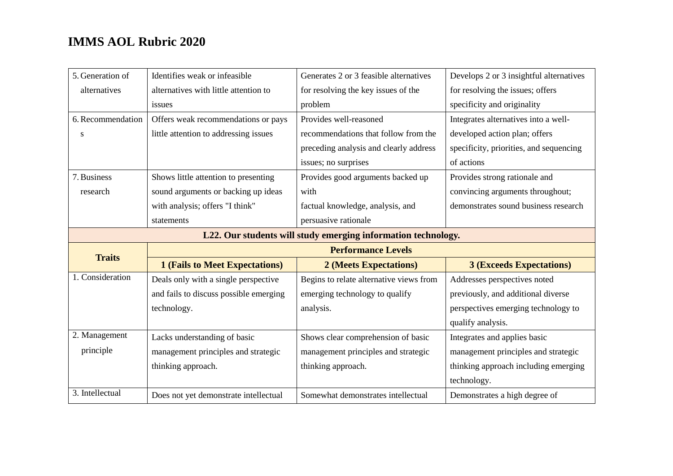| 5. Generation of                                              | Identifies weak or infeasible          | Generates 2 or 3 feasible alternatives  | Develops 2 or 3 insightful alternatives |
|---------------------------------------------------------------|----------------------------------------|-----------------------------------------|-----------------------------------------|
| alternatives                                                  | alternatives with little attention to  | for resolving the key issues of the     | for resolving the issues; offers        |
|                                                               | issues                                 | problem                                 | specificity and originality             |
| 6. Recommendation                                             | Offers weak recommendations or pays    | Provides well-reasoned                  | Integrates alternatives into a well-    |
| S                                                             | little attention to addressing issues  | recommendations that follow from the    | developed action plan; offers           |
|                                                               |                                        | preceding analysis and clearly address  | specificity, priorities, and sequencing |
|                                                               |                                        | issues; no surprises                    | of actions                              |
| 7. Business                                                   | Shows little attention to presenting   | Provides good arguments backed up       | Provides strong rationale and           |
| research                                                      | sound arguments or backing up ideas    | with                                    | convincing arguments throughout;        |
|                                                               | with analysis; offers "I think"        | factual knowledge, analysis, and        | demonstrates sound business research    |
|                                                               | statements                             | persuasive rationale                    |                                         |
| L22. Our students will study emerging information technology. |                                        |                                         |                                         |
|                                                               |                                        |                                         |                                         |
|                                                               |                                        | <b>Performance Levels</b>               |                                         |
| <b>Traits</b>                                                 | <b>1 (Fails to Meet Expectations)</b>  | 2 (Meets Expectations)                  | <b>3 (Exceeds Expectations)</b>         |
| 1. Consideration                                              | Deals only with a single perspective   | Begins to relate alternative views from | Addresses perspectives noted            |
|                                                               | and fails to discuss possible emerging | emerging technology to qualify          | previously, and additional diverse      |
|                                                               | technology.                            | analysis.                               | perspectives emerging technology to     |
|                                                               |                                        |                                         | qualify analysis.                       |
| 2. Management                                                 | Lacks understanding of basic           | Shows clear comprehension of basic      | Integrates and applies basic            |
| principle                                                     | management principles and strategic    | management principles and strategic     | management principles and strategic     |
|                                                               | thinking approach.                     | thinking approach.                      | thinking approach including emerging    |
|                                                               |                                        |                                         | technology.                             |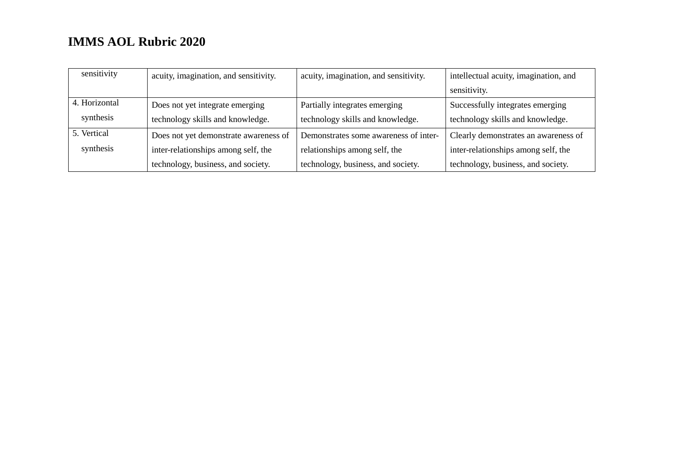| sensitivity   | acuity, imagination, and sensitivity. | acuity, imagination, and sensitivity. | intellectual acuity, imagination, and |
|---------------|---------------------------------------|---------------------------------------|---------------------------------------|
|               |                                       |                                       | sensitivity.                          |
| 4. Horizontal | Does not yet integrate emerging       | Partially integrates emerging         | Successfully integrates emerging      |
| synthesis     | technology skills and knowledge.      | technology skills and knowledge.      | technology skills and knowledge.      |
| 5. Vertical   | Does not yet demonstrate awareness of | Demonstrates some awareness of inter- | Clearly demonstrates an awareness of  |
| synthesis     | inter-relationships among self, the   | relationships among self, the         | inter-relationships among self, the   |
|               | technology, business, and society.    | technology, business, and society.    | technology, business, and society.    |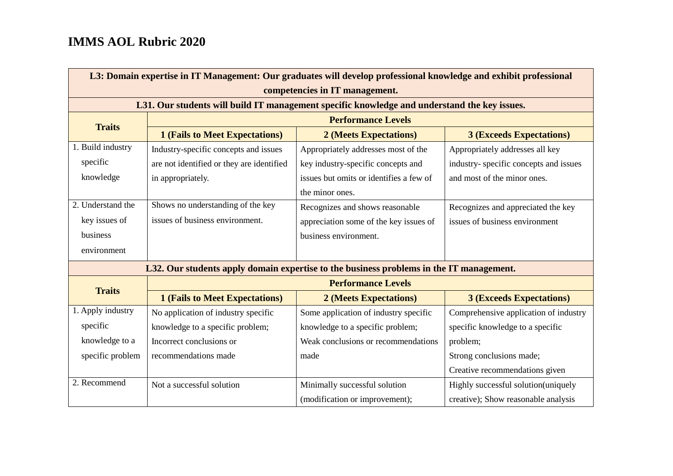| L3: Domain expertise in IT Management: Our graduates will develop professional knowledge and exhibit professional |                                           |                                                                                              |                                       |  |
|-------------------------------------------------------------------------------------------------------------------|-------------------------------------------|----------------------------------------------------------------------------------------------|---------------------------------------|--|
| competencies in IT management.                                                                                    |                                           |                                                                                              |                                       |  |
|                                                                                                                   |                                           | L31. Our students will build IT management specific knowledge and understand the key issues. |                                       |  |
| <b>Traits</b>                                                                                                     | <b>Performance Levels</b>                 |                                                                                              |                                       |  |
|                                                                                                                   | <b>1 (Fails to Meet Expectations)</b>     | 2 (Meets Expectations)                                                                       | <b>3 (Exceeds Expectations)</b>       |  |
| 1. Build industry                                                                                                 | Industry-specific concepts and issues     | Appropriately addresses most of the                                                          | Appropriately addresses all key       |  |
| specific                                                                                                          | are not identified or they are identified | key industry-specific concepts and                                                           | industry-specific concepts and issues |  |
| knowledge                                                                                                         | in appropriately.                         | issues but omits or identifies a few of                                                      | and most of the minor ones.           |  |
|                                                                                                                   |                                           | the minor ones.                                                                              |                                       |  |
| 2. Understand the                                                                                                 | Shows no understanding of the key         | Recognizes and shows reasonable                                                              | Recognizes and appreciated the key    |  |
| key issues of                                                                                                     | issues of business environment.           | appreciation some of the key issues of                                                       | issues of business environment        |  |
| business                                                                                                          |                                           | business environment.                                                                        |                                       |  |
| environment                                                                                                       |                                           |                                                                                              |                                       |  |
|                                                                                                                   |                                           | L32. Our students apply domain expertise to the business problems in the IT management.      |                                       |  |
|                                                                                                                   |                                           | <b>Performance Levels</b>                                                                    |                                       |  |
| <b>Traits</b>                                                                                                     | <b>1 (Fails to Meet Expectations)</b>     | 2 (Meets Expectations)                                                                       | <b>3 (Exceeds Expectations)</b>       |  |
| 1. Apply industry                                                                                                 | No application of industry specific       | Some application of industry specific                                                        | Comprehensive application of industry |  |
| specific                                                                                                          | knowledge to a specific problem;          | knowledge to a specific problem;                                                             | specific knowledge to a specific      |  |
| knowledge to a                                                                                                    | Incorrect conclusions or                  | Weak conclusions or recommendations                                                          | problem;                              |  |
| specific problem                                                                                                  | recommendations made                      | made                                                                                         | Strong conclusions made;              |  |
|                                                                                                                   |                                           |                                                                                              | Creative recommendations given        |  |
| 2. Recommend                                                                                                      | Not a successful solution                 | Minimally successful solution                                                                | Highly successful solution(uniquely   |  |
|                                                                                                                   |                                           | (modification or improvement);                                                               | creative); Show reasonable analysis   |  |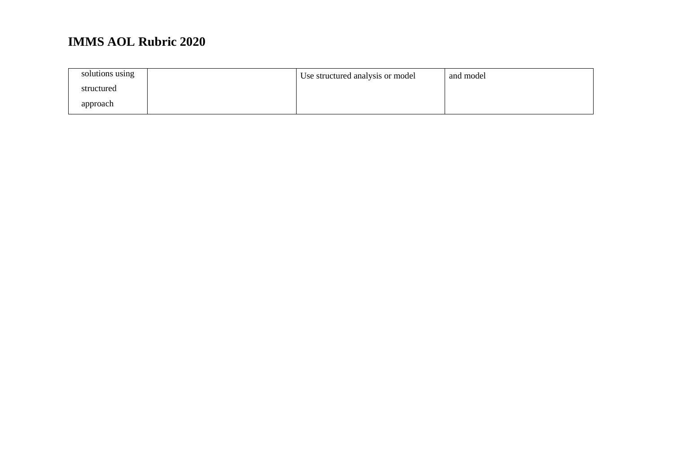| solutions using | Use structured analysis or model | and model |
|-----------------|----------------------------------|-----------|
| structured      |                                  |           |
| approach        |                                  |           |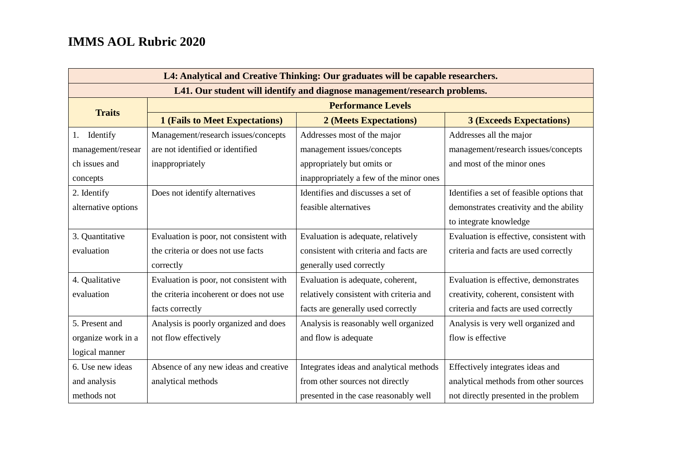| L4: Analytical and Creative Thinking: Our graduates will be capable researchers. |                                         |                                         |                                           |  |
|----------------------------------------------------------------------------------|-----------------------------------------|-----------------------------------------|-------------------------------------------|--|
| L41. Our student will identify and diagnose management/research problems.        |                                         |                                         |                                           |  |
|                                                                                  | <b>Performance Levels</b>               |                                         |                                           |  |
| <b>Traits</b>                                                                    | <b>1 (Fails to Meet Expectations)</b>   | 2 (Meets Expectations)                  | <b>3 (Exceeds Expectations)</b>           |  |
| 1. Identify                                                                      | Management/research issues/concepts     | Addresses most of the major             | Addresses all the major                   |  |
| management/resear                                                                | are not identified or identified        | management issues/concepts              | management/research issues/concepts       |  |
| ch issues and                                                                    | inappropriately                         | appropriately but omits or              | and most of the minor ones                |  |
| concepts                                                                         |                                         | inappropriately a few of the minor ones |                                           |  |
| 2. Identify                                                                      | Does not identify alternatives          | Identifies and discusses a set of       | Identifies a set of feasible options that |  |
| alternative options                                                              |                                         | feasible alternatives                   | demonstrates creativity and the ability   |  |
|                                                                                  |                                         |                                         | to integrate knowledge                    |  |
| 3. Quantitative                                                                  | Evaluation is poor, not consistent with | Evaluation is adequate, relatively      | Evaluation is effective, consistent with  |  |
| evaluation                                                                       | the criteria or does not use facts      | consistent with criteria and facts are  | criteria and facts are used correctly     |  |
|                                                                                  | correctly                               | generally used correctly                |                                           |  |
| 4. Qualitative                                                                   | Evaluation is poor, not consistent with | Evaluation is adequate, coherent,       | Evaluation is effective, demonstrates     |  |
| evaluation                                                                       | the criteria incoherent or does not use | relatively consistent with criteria and | creativity, coherent, consistent with     |  |
|                                                                                  | facts correctly                         | facts are generally used correctly      | criteria and facts are used correctly     |  |
| 5. Present and                                                                   | Analysis is poorly organized and does   | Analysis is reasonably well organized   | Analysis is very well organized and       |  |
| organize work in a                                                               | not flow effectively                    | and flow is adequate                    | flow is effective                         |  |
| logical manner                                                                   |                                         |                                         |                                           |  |
| 6. Use new ideas                                                                 | Absence of any new ideas and creative   | Integrates ideas and analytical methods | Effectively integrates ideas and          |  |
| and analysis                                                                     | analytical methods                      | from other sources not directly         | analytical methods from other sources     |  |
| methods not                                                                      |                                         | presented in the case reasonably well   | not directly presented in the problem     |  |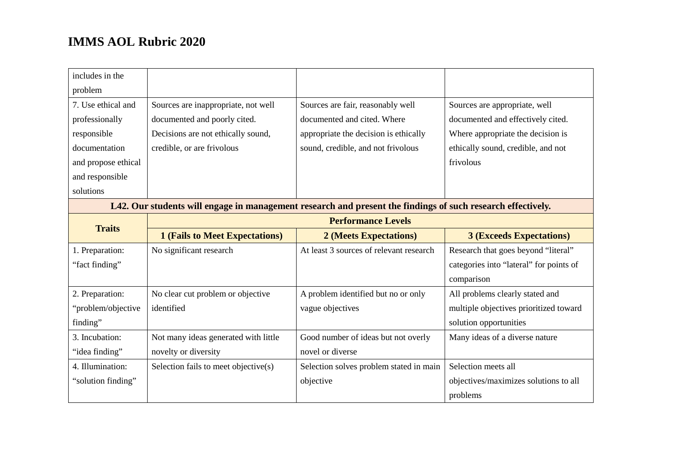| includes in the                                                                                             |                                       |                                         |                                         |  |
|-------------------------------------------------------------------------------------------------------------|---------------------------------------|-----------------------------------------|-----------------------------------------|--|
| problem                                                                                                     |                                       |                                         |                                         |  |
| 7. Use ethical and                                                                                          | Sources are inappropriate, not well   | Sources are fair, reasonably well       | Sources are appropriate, well           |  |
| professionally                                                                                              | documented and poorly cited.          | documented and cited. Where             | documented and effectively cited.       |  |
| responsible                                                                                                 | Decisions are not ethically sound,    | appropriate the decision is ethically   | Where appropriate the decision is       |  |
| documentation                                                                                               | credible, or are frivolous            | sound, credible, and not frivolous      | ethically sound, credible, and not      |  |
| and propose ethical                                                                                         |                                       |                                         | frivolous                               |  |
| and responsible                                                                                             |                                       |                                         |                                         |  |
| solutions                                                                                                   |                                       |                                         |                                         |  |
| L42. Our students will engage in management research and present the findings of such research effectively. |                                       |                                         |                                         |  |
| <b>Traits</b>                                                                                               | <b>Performance Levels</b>             |                                         |                                         |  |
|                                                                                                             |                                       |                                         |                                         |  |
|                                                                                                             | <b>1 (Fails to Meet Expectations)</b> | 2 (Meets Expectations)                  | <b>3 (Exceeds Expectations)</b>         |  |
| 1. Preparation:                                                                                             | No significant research               | At least 3 sources of relevant research | Research that goes beyond "literal"     |  |
| "fact finding"                                                                                              |                                       |                                         | categories into "lateral" for points of |  |
|                                                                                                             |                                       |                                         | comparison                              |  |
| 2. Preparation:                                                                                             | No clear cut problem or objective     | A problem identified but no or only     | All problems clearly stated and         |  |
| "problem/objective                                                                                          | identified                            | vague objectives                        | multiple objectives prioritized toward  |  |
| finding"                                                                                                    |                                       |                                         | solution opportunities                  |  |
| 3. Incubation:                                                                                              | Not many ideas generated with little  | Good number of ideas but not overly     | Many ideas of a diverse nature          |  |
| "idea finding"                                                                                              | novelty or diversity                  | novel or diverse                        |                                         |  |
| 4. Illumination:                                                                                            | Selection fails to meet objective(s)  | Selection solves problem stated in main | Selection meets all                     |  |
| "solution finding"                                                                                          |                                       | objective                               | objectives/maximizes solutions to all   |  |